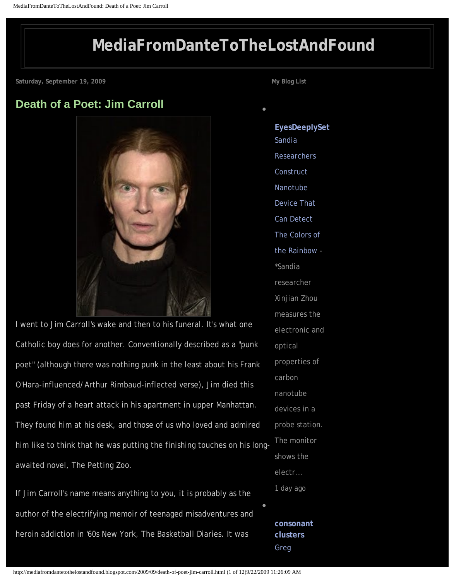## **[MediaFromDanteToTheLostAndFound](http://mediafromdantetothelostandfound.blogspot.com/)**

<span id="page-0-0"></span>**Saturday, September 19, 2009**

### **[Death of a Poet: Jim Carroll](#page-0-0)**



I went to Jim Carroll's wake and then to his funeral. It's what one Catholic boy does for another. Conventionally described as a "punk poet" (although there was nothing punk in the least about his Frank O'Hara-influenced/Arthur Rimbaud-inflected verse), Jim died this past Friday of a heart attack in his apartment in upper Manhattan. They found him at his desk, and those of us who loved and admired him like to think that he was putting the finishing touches on his longawaited novel, The Petting Zoo.

If Jim Carroll's name means anything to you, it is probably as the author of the electrifying memoir of teenaged misadventures and heroin addiction in '60s New York, The Basketball Diaries. It was

**My Blog List**

●

**[EyesDeeplySet](http://eyesdeeplyset.blogspot.com/)** [Sandia](http://eyesdeeplyset.blogspot.com/2009/09/sandia-researchers-construct-nanotube.html) **Researchers** [Construct](http://eyesdeeplyset.blogspot.com/2009/09/sandia-researchers-construct-nanotube.html)  [Nanotube](http://eyesdeeplyset.blogspot.com/2009/09/sandia-researchers-construct-nanotube.html)  [Device That](http://eyesdeeplyset.blogspot.com/2009/09/sandia-researchers-construct-nanotube.html) [Can Detect](http://eyesdeeplyset.blogspot.com/2009/09/sandia-researchers-construct-nanotube.html)  [The Colors of](http://eyesdeeplyset.blogspot.com/2009/09/sandia-researchers-construct-nanotube.html)  [the Rainbow](http://eyesdeeplyset.blogspot.com/2009/09/sandia-researchers-construct-nanotube.html) - \*Sandia researcher Xinjian Zhou measures the electronic and optical properties of carbon nanotube devices in a probe station. The monitor shows the electr... *1 day ago*  **[consonant](http://consonantclusters.blogspot.com/)** 

●

**[clusters](http://consonantclusters.blogspot.com/)** [Greg](http://consonantclusters.blogspot.com/2009/09/greg-evason_09.html) 

http://mediafromdantetothelostandfound.blogspot.com/2009/09/death-of-poet-jim-carroll.html (1 of 12)9/22/2009 11:26:09 AM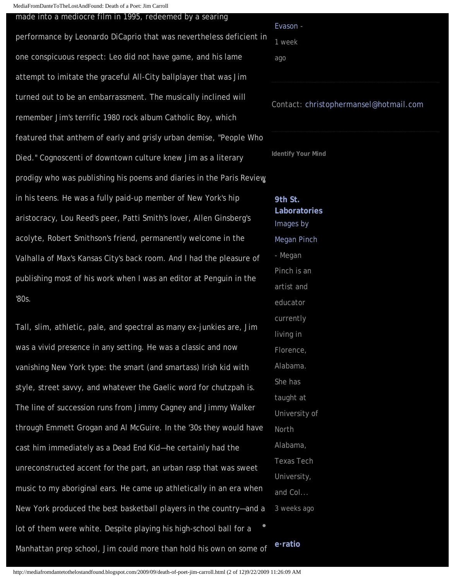MediaFromDanteToTheLostAndFound: Death of a Poet: Jim Carroll

#### made into a mediocre film in 1995, redeemed by a searing

performance by Leonardo DiCaprio that was nevertheless deficient in one conspicuous respect: Leo did not have game, and his lame attempt to imitate the graceful All-City ballplayer that was Jim turned out to be an embarrassment. The musically inclined will remember Jim's terrific 1980 rock album Catholic Boy, which featured that anthem of early and grisly urban demise, "People Who Died." Cognoscenti of downtown culture knew Jim as a literary prodigy who was publishing his poems and diaries in the Paris Review in his teens. He was a fully paid-up member of New York's hip aristocracy, Lou Reed's peer, Patti Smith's lover, Allen Ginsberg's acolyte, Robert Smithson's friend, permanently welcome in the Valhalla of Max's Kansas City's back room. And I had the pleasure of publishing most of his work when I was an editor at Penguin in the '80s.

Tall, slim, athletic, pale, and spectral as many ex-junkies are, Jim was a vivid presence in any setting. He was a classic and now vanishing New York type: the smart (and smartass) Irish kid with style, street savvy, and whatever the Gaelic word for chutzpah is. The line of succession runs from Jimmy Cagney and Jimmy Walker through Emmett Grogan and Al McGuire. In the '30s they would have cast him immediately as a Dead End Kid—he certainly had the unreconstructed accent for the part, an urban rasp that was sweet music to my aboriginal ears. He came up athletically in an era when New York produced the best basketball players in the country—and a lot of them were white. Despite playing his high-school ball for a Manhattan prep school, Jim could more than hold his own on some of ● **[e·ratio](http://eratio.blogspot.com/)**

# [Evason](http://consonantclusters.blogspot.com/2009/09/greg-evason_09.html) - *1 week ago*

### Contact: [christophermansel@hotmail.com](mailto:christophermansel@hotmail.com)

**Identify Your Mind**

**[9th St.](http://9thstlab.blogspot.com/) [Laboratories](http://9thstlab.blogspot.com/)** [Images by](http://9thstlab.blogspot.com/2009/08/images-by-megan-pinch.html) [Megan Pinch](http://9thstlab.blogspot.com/2009/08/images-by-megan-pinch.html) - Megan Pinch is an artist and educator currently living in Florence, Alabama. She has taught at University of North Alabama, Texas Tech University, and Col... *3 weeks ago*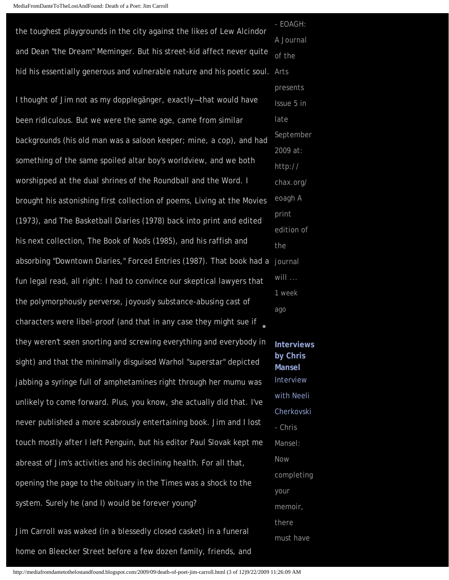| the toughest playgrounds in the city against the likes of Lew Alcindor  | - EOAGH:             |
|-------------------------------------------------------------------------|----------------------|
| and Dean "the Dream" Meminger. But his street-kid affect never quite    | A Journal<br>of the  |
| hid his essentially generous and vulnerable nature and his poetic soul. | Arts                 |
| I thought of Jim not as my dopplegänger, exactly-that would have        | presents             |
|                                                                         | Issue 5 in           |
| been ridiculous. But we were the same age, came from similar            | late                 |
| backgrounds (his old man was a saloon keeper; mine, a cop), and had     | Septembe             |
| something of the same spoiled altar boy's worldview, and we both        | 2009 at:<br>http://  |
| worshipped at the dual shrines of the Roundball and the Word. I         | chax.org/            |
| brought his astonishing first collection of poems, Living at the Movies | eoagh A              |
| (1973), and The Basketball Diaries (1978) back into print and edited    | print                |
| his next collection, The Book of Nods (1985), and his raffish and       | edition of<br>the    |
| absorbing "Downtown Diaries," Forced Entries (1987). That book had a    | journal              |
| fun legal read, all right: I had to convince our skeptical lawyers that | will                 |
| the polymorphously perverse, joyously substance-abusing cast of         | 1 week<br>ago        |
| characters were libel-proof (and that in any case they might sue if     |                      |
| they weren't seen snorting and screwing everything and everybody in     | <b>Interview</b>     |
| sight) and that the minimally disguised Warhol "superstar" depicted     | by Chris<br>Mansel   |
| jabbing a syringe full of amphetamines right through her mumu was       | Interview            |
| unlikely to come forward. Plus, you know, she actually did that. I've   | with Neeli           |
| never published a more scabrously entertaining book. Jim and I lost     | Cherkovsk<br>- Chris |
| touch mostly after I left Penguin, but his editor Paul Slovak kept me   | Mansel:              |
| abreast of Jim's activities and his declining health. For all that,     | Now                  |
| opening the page to the obituary in the Times was a shock to the        |                      |
|                                                                         | your                 |
| system. Surely he (and I) would be forever young?                       | memoir,              |
|                                                                         |                      |

Jim Carroll was waked (in a blessedly closed casket) in a funeral home on Bleecker Street before a few dozen family, friends, and September edition of **[Interviews](http://interviewsbychrismansel.blogspot.com/)**  [with Neeli](http://interviewsbychrismansel.blogspot.com/2008/07/interview-with-neeli-cherkovski.html)  [Cherkovski](http://interviewsbychrismansel.blogspot.com/2008/07/interview-with-neeli-cherkovski.html) ng

there

must have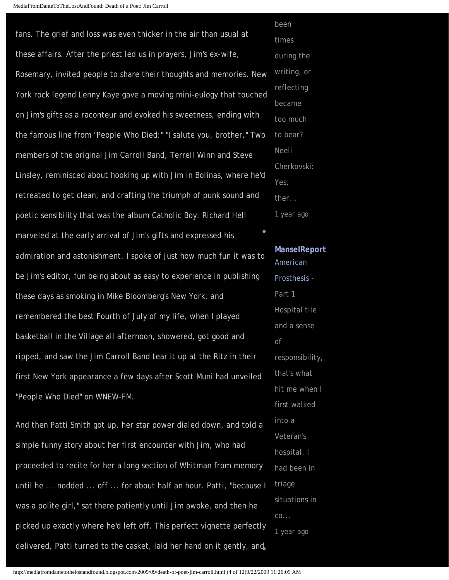fans. The grief and loss was even thicker in the air than usual at these affairs. After the priest led us in prayers, Jim's ex-wife, Rosemary, invited people to share their thoughts and memories. New York rock legend Lenny Kaye gave a moving mini-eulogy that touched on Jim's gifts as a raconteur and evoked his sweetness, ending with the famous line from "People Who Died:" "I salute you, brother." Two members of the original Jim Carroll Band, Terrell Winn and Steve Linsley, reminisced about hooking up with Jim in Bolinas, where he'd retreated to get clean, and crafting the triumph of punk sound and poetic sensibility that was the album Catholic Boy. Richard Hell marveled at the early arrival of Jim's gifts and expressed his admiration and astonishment. I spoke of just how much fun it was to be Jim's editor, fun being about as easy to experience in publishing these days as smoking in Mike Bloomberg's New York, and remembered the best Fourth of July of my life, when I played basketball in the Village all afternoon, showered, got good and ripped, and saw the Jim Carroll Band tear it up at the Ritz in their first New York appearance a few days after Scott Muni had unveiled "People Who Died" on WNEW-FM. been ●

And then Patti Smith got up, her star power dialed down, and told a simple funny story about her first encounter with Jim, who had proceeded to recite for her a long section of Whitman from memory until he ... nodded ... off ... for about half an hour. Patti, "because I was a polite girl," sat there patiently until Jim awoke, and then he picked up exactly where he'd left off. This perfect vignette perfectly delivered, Patti turned to the casket, laid her hand on it gently, and

times during the writing, or reflecting became too much to bear? Neeli Cherkovski: Yes, ther... *1 year ago* 

**[ManselReport](http://themanselreport.blogspot.com/)** [American](http://themanselreport.blogspot.com/2008/03/american-prosthesis.html)  [Prosthesis](http://themanselreport.blogspot.com/2008/03/american-prosthesis.html) - Part 1 Hospital tile and a sense of responsibility, that's what hit me when I first walked into a Veteran's hospital. I had been in triage situations in co... *1 year ago*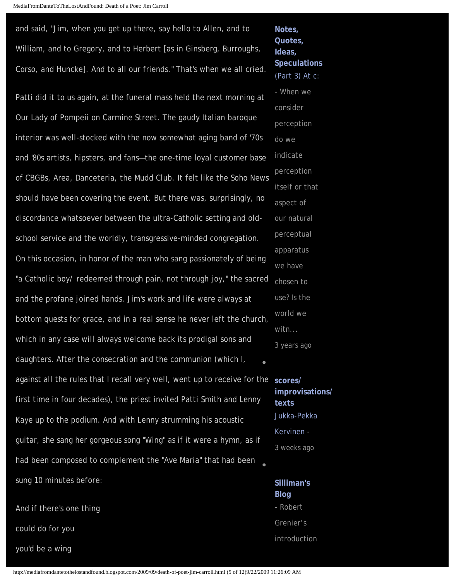and said, "Jim, when you get up there, say hello to Allen, and to William, and to Gregory, and to Herbert [as in Ginsberg, Burroughs, Corso, and Huncke]. And to all our friends." That's when we all cried.

Patti did it to us again, at the funeral mass held the next morning at Our Lady of Pompeii on Carmine Street. The gaudy Italian baroque interior was well-stocked with the now somewhat aging band of '70s and '80s artists, hipsters, and fans—the one-time loyal customer base of CBGBs, Area, Danceteria, the Mudd Club. It felt like the Soho News should have been covering the event. But there was, surprisingly, no discordance whatsoever between the ultra-Catholic setting and oldschool service and the worldly, transgressive-minded congregation. On this occasion, in honor of the man who sang passionately of being "a Catholic boy/ redeemed through pain, not through joy," the sacred and the profane joined hands. Jim's work and life were always at bottom quests for grace, and in a real sense he never left the church, which in any case will always welcome back its prodigal sons and daughters. After the consecration and the communion (which I, against all the rules that I recall very well, went up to receive for the **[scores/](http://scoresimprovisationstexts.blogspot.com/)** first time in four decades), the priest invited Patti Smith and Lenny Kaye up to the podium. And with Lenny strumming his acoustic guitar, she sang her gorgeous song "Wing" as if it were a hymn, as if had been composed to complement the "Ave Maria" that had been sung 10 minutes before: ● ●

And if there's one thing could do for you you'd be a wing

**[Quotes,](http://notesquotes.blogspot.com/)  [Ideas,](http://notesquotes.blogspot.com/) [Speculations](http://notesquotes.blogspot.com/)** [\(Part 3\) At c:](http://notesquotes.blogspot.com/2005/12/part-3-at-c.html) - When we consider perception do we indicate perception itself or that aspect of our natural perceptual apparatus we have chosen to use? Is the world we witn... *3 years ago* 

**[Notes,](http://notesquotes.blogspot.com/)** 

**[improvisations/](http://scoresimprovisationstexts.blogspot.com/) [texts](http://scoresimprovisationstexts.blogspot.com/)** [Jukka-Pekka](http://scoresimprovisationstexts.blogspot.com/2009/08/jukka-pekka-kervinen.html)  [Kervinen](http://scoresimprovisationstexts.blogspot.com/2009/08/jukka-pekka-kervinen.html) - *3 weeks ago* 

**[Silliman's](http://ronsilliman.blogspot.com/)  [Blog](http://ronsilliman.blogspot.com/)** - Robert Grenier's introduction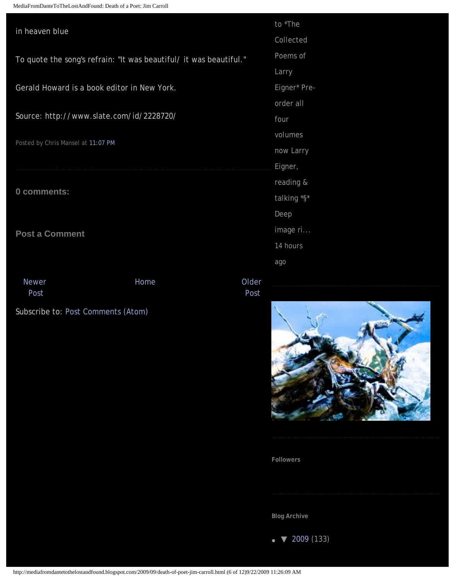MediaFromDanteToTheLostAndFound: Death of a Poet: Jim Carroll

| in heaven blue                                                     |      |               | to *The      |
|--------------------------------------------------------------------|------|---------------|--------------|
|                                                                    |      |               | Collected    |
| To quote the song's refrain: "It was beautiful/ it was beautiful." |      |               | Poems of     |
|                                                                    |      |               | Larry        |
| Gerald Howard is a book editor in New York.                        |      |               | Eigner* Pre- |
|                                                                    |      |               | order all    |
| Source: http://www.slate.com/id/2228720/                           |      |               | four         |
|                                                                    |      |               | volumes      |
| Posted by Chris Mansel at 11:07 PM                                 |      |               | now Larry    |
|                                                                    |      |               | Eigner,      |
|                                                                    |      |               | reading &    |
| 0 comments:                                                        |      |               | talking *§*  |
|                                                                    |      | Deep          |              |
| <b>Post a Comment</b>                                              |      |               | image ri     |
|                                                                    |      |               | 14 hours     |
|                                                                    |      |               | ago          |
| <b>Newer</b><br>Post                                               | Home | Older<br>Post |              |
| Subscribe to: Post Comments (Atom)                                 |      |               |              |



**Followers**

**Blog Archive**

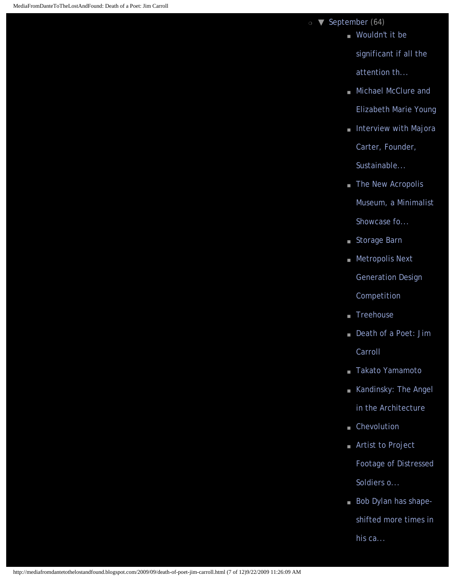❍ [▼](javascript:void(0)) [September](http://mediafromdantetothelostandfound.blogspot.com/2009_09_01_archive.html) (64)

■ Wouldn't it be

[significant if all the](http://mediafromdantetothelostandfound.blogspot.com/2009/09/wouldnt-it-be-signioficant-if-all.html)  [attention th...](http://mediafromdantetothelostandfound.blogspot.com/2009/09/wouldnt-it-be-signioficant-if-all.html)

- [Michael McClure and](http://mediafromdantetothelostandfound.blogspot.com/2009/09/michael-mcclure-and-elizabeth-marie.html) [Elizabeth Marie Young](http://mediafromdantetothelostandfound.blogspot.com/2009/09/michael-mcclure-and-elizabeth-marie.html)
- [Interview with Majora](http://mediafromdantetothelostandfound.blogspot.com/2009/09/interview-with-majora-carter-founder.html)

[Carter, Founder,](http://mediafromdantetothelostandfound.blogspot.com/2009/09/interview-with-majora-carter-founder.html) 

[Sustainable...](http://mediafromdantetothelostandfound.blogspot.com/2009/09/interview-with-majora-carter-founder.html)

■ [The New Acropolis](http://mediafromdantetothelostandfound.blogspot.com/2009/09/new-acropolis-museum-minimalist.html)

[Museum, a Minimalist](http://mediafromdantetothelostandfound.blogspot.com/2009/09/new-acropolis-museum-minimalist.html) 

[Showcase fo...](http://mediafromdantetothelostandfound.blogspot.com/2009/09/new-acropolis-museum-minimalist.html)

- [Storage Barn](http://mediafromdantetothelostandfound.blogspot.com/2009/09/storage-barn.html)
- [Metropolis Next](http://mediafromdantetothelostandfound.blogspot.com/2009/09/metropolis-next-generation-design.html)

[Generation Design](http://mediafromdantetothelostandfound.blogspot.com/2009/09/metropolis-next-generation-design.html) 

[Competition](http://mediafromdantetothelostandfound.blogspot.com/2009/09/metropolis-next-generation-design.html)

- [Treehouse](http://mediafromdantetothelostandfound.blogspot.com/2009/09/treehouse.html)
- Death of a Poet: Jim [Carroll](#page-0-0)
- [Takato Yamamoto](http://mediafromdantetothelostandfound.blogspot.com/2009/09/takato-yamamoto.html)
- [Kandinsky: The Angel](http://mediafromdantetothelostandfound.blogspot.com/2009/09/kandinsky-angel-in-architecture.html) [in the Architecture](http://mediafromdantetothelostandfound.blogspot.com/2009/09/kandinsky-angel-in-architecture.html)
- [Chevolution](http://mediafromdantetothelostandfound.blogspot.com/2009/09/chevolution.html)
- [Artist to Project](http://mediafromdantetothelostandfound.blogspot.com/2009/09/artist-to-project-footage-of-distressed.html) [Footage of Distressed](http://mediafromdantetothelostandfound.blogspot.com/2009/09/artist-to-project-footage-of-distressed.html)  [Soldiers o...](http://mediafromdantetothelostandfound.blogspot.com/2009/09/artist-to-project-footage-of-distressed.html)
- [Bob Dylan has shape](http://mediafromdantetothelostandfound.blogspot.com/2009/09/bob-dylan-has-shape-shifted-more-times.html)[shifted more times in](http://mediafromdantetothelostandfound.blogspot.com/2009/09/bob-dylan-has-shape-shifted-more-times.html)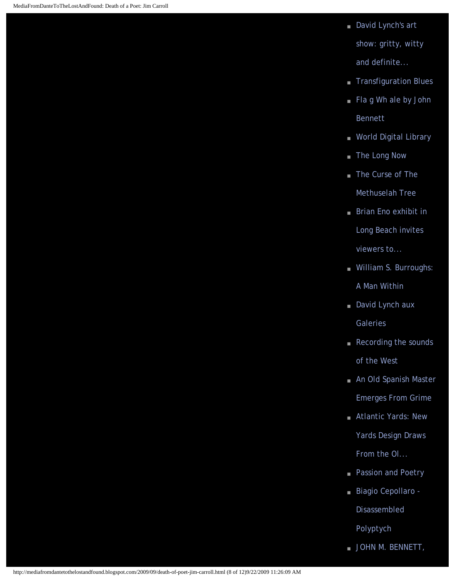■ David Lynch's art [show: gritty, witty](http://mediafromdantetothelostandfound.blogspot.com/2009/09/david-lynchs-art-show-gritty-witty-and.html) 

[and definite...](http://mediafromdantetothelostandfound.blogspot.com/2009/09/david-lynchs-art-show-gritty-witty-and.html)

- [Transfiguration Blues](http://mediafromdantetothelostandfound.blogspot.com/2009/09/transfiguration-blues.html)
- Fla g Wh ale by John [Bennett](http://mediafromdantetothelostandfound.blogspot.com/2009/09/fla-g-wh-ale-by-john-bennett.html)
- [World Digital Library](http://mediafromdantetothelostandfound.blogspot.com/2009/09/world-digital-library.html)
- [The Long Now](http://mediafromdantetothelostandfound.blogspot.com/2009/09/website-of-interest.html)
- The Curse of The [Methuselah Tree](http://mediafromdantetothelostandfound.blogspot.com/2009/09/curse-of-methuselah-tree.html)
- Brian Eno exhibit in [Long Beach invites](http://mediafromdantetothelostandfound.blogspot.com/2009/09/brian-eno-exhibit-in-long-beach-invites.html)

[viewers to...](http://mediafromdantetothelostandfound.blogspot.com/2009/09/brian-eno-exhibit-in-long-beach-invites.html)

- William S. Burroughs: [A Man Within](http://mediafromdantetothelostandfound.blogspot.com/2009/09/william-s-burroughs-man-within.html)
- [David Lynch aux](http://mediafromdantetothelostandfound.blogspot.com/2009/09/david-lynch-aux-galeries.html) [Galeries](http://mediafromdantetothelostandfound.blogspot.com/2009/09/david-lynch-aux-galeries.html)
- Recording the sounds [of the West](http://mediafromdantetothelostandfound.blogspot.com/2009/09/recording-sounds-of-west.html)
- An Old Spanish Master [Emerges From Grime](http://mediafromdantetothelostandfound.blogspot.com/2009/09/old-spanish-master-emerges-from-grime.html)
- Atlantic Yards: New [Yards Design Draws](http://mediafromdantetothelostandfound.blogspot.com/2009/09/atlantic-yards-new-yards-design-draws.html)  [From the Ol...](http://mediafromdantetothelostandfound.blogspot.com/2009/09/atlantic-yards-new-yards-design-draws.html)
- [Passion and Poetry](http://mediafromdantetothelostandfound.blogspot.com/2009/09/passion-and-poetry.html)
- [Biagio Cepollaro -](http://mediafromdantetothelostandfound.blogspot.com/2009/09/biagio-cepollaro-disassembled-polyptych.html) [Disassembled](http://mediafromdantetothelostandfound.blogspot.com/2009/09/biagio-cepollaro-disassembled-polyptych.html)  [Polyptych](http://mediafromdantetothelostandfound.blogspot.com/2009/09/biagio-cepollaro-disassembled-polyptych.html)
- [JOHN M. BENNETT,](http://mediafromdantetothelostandfound.blogspot.com/2009/09/john-m-bennett-poesia-visual-boek.html)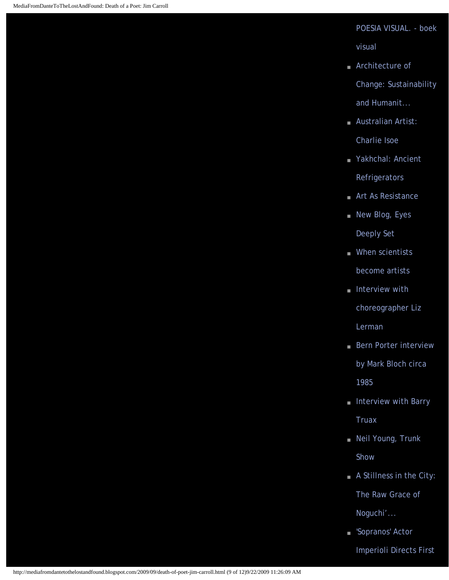### [POESIA VISUAL. - boek](http://mediafromdantetothelostandfound.blogspot.com/2009/09/john-m-bennett-poesia-visual-boek.html)

[visual](http://mediafromdantetothelostandfound.blogspot.com/2009/09/john-m-bennett-poesia-visual-boek.html)

- [Architecture of](http://mediafromdantetothelostandfound.blogspot.com/2009/09/architecture-of-change-sustainability.html) [Change: Sustainability](http://mediafromdantetothelostandfound.blogspot.com/2009/09/architecture-of-change-sustainability.html) [and Humanit...](http://mediafromdantetothelostandfound.blogspot.com/2009/09/architecture-of-change-sustainability.html)
- Australian Artist: [Charlie Isoe](http://mediafromdantetothelostandfound.blogspot.com/2009/09/australian-artist-charlie-isoe.html)
- [Yakhchal: Ancient](http://mediafromdantetothelostandfound.blogspot.com/2009/09/yakhchal-ancient-refrigerators.html)  [Refrigerators](http://mediafromdantetothelostandfound.blogspot.com/2009/09/yakhchal-ancient-refrigerators.html)
- [Art As Resistance](http://mediafromdantetothelostandfound.blogspot.com/2009/09/art-as-resistance.html)
- [New Blog, Eyes](http://mediafromdantetothelostandfound.blogspot.com/2009/09/new-blog-eyes-deeply-set.html) [Deeply Set](http://mediafromdantetothelostandfound.blogspot.com/2009/09/new-blog-eyes-deeply-set.html)
- [When scientists](http://mediafromdantetothelostandfound.blogspot.com/2009/09/purkinje-cells-from-adult-mouse-located.html) [become artists](http://mediafromdantetothelostandfound.blogspot.com/2009/09/purkinje-cells-from-adult-mouse-located.html)
- [Interview with](http://mediafromdantetothelostandfound.blogspot.com/2009/09/interview-with-choreographer-liz-lerman.html) [choreographer Liz](http://mediafromdantetothelostandfound.blogspot.com/2009/09/interview-with-choreographer-liz-lerman.html)  [Lerman](http://mediafromdantetothelostandfound.blogspot.com/2009/09/interview-with-choreographer-liz-lerman.html)
- Bern Porter interview [by Mark Bloch circa](http://mediafromdantetothelostandfound.blogspot.com/2009/09/boern-porter-interview-by-mark-bloch.html)  [1985](http://mediafromdantetothelostandfound.blogspot.com/2009/09/boern-porter-interview-by-mark-bloch.html)
- Interview with Barry [Truax](http://mediafromdantetothelostandfound.blogspot.com/2009/09/interview-with-barry-truax.html)
- Neil Young, Trunk [Show](http://mediafromdantetothelostandfound.blogspot.com/2009/09/neil-young-trunk-show.html)
- A Stillness in the City:

[The Raw Grace of](http://mediafromdantetothelostandfound.blogspot.com/2009/09/stillness-in-city-raw-grace-of-noguchis.html) 

[Noguchi'...](http://mediafromdantetothelostandfound.blogspot.com/2009/09/stillness-in-city-raw-grace-of-noguchis.html)

■ 'Sopranos' Actor

[Imperioli Directs First](http://mediafromdantetothelostandfound.blogspot.com/2009/09/sopranos-actor-imperioli-directs-first.html)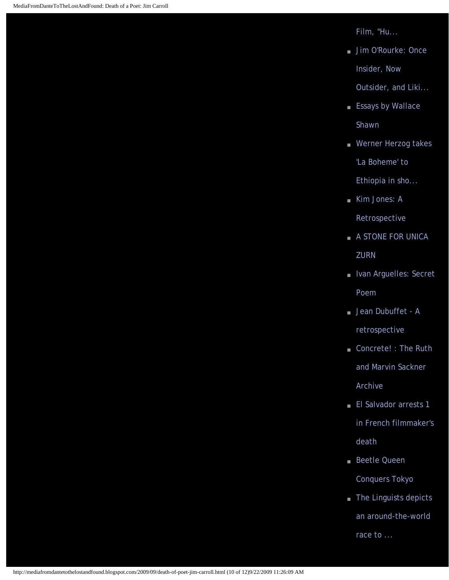[Film, "Hu...](http://mediafromdantetothelostandfound.blogspot.com/2009/09/sopranos-actor-imperioli-directs-first.html)

■ [Jim O'Rourke: Once](http://mediafromdantetothelostandfound.blogspot.com/2009/09/jim-orourke-once-insider-now-outsider.html) [Insider, Now](http://mediafromdantetothelostandfound.blogspot.com/2009/09/jim-orourke-once-insider-now-outsider.html)

[Outsider, and Liki...](http://mediafromdantetothelostandfound.blogspot.com/2009/09/jim-orourke-once-insider-now-outsider.html)

- [Essays by Wallace](http://mediafromdantetothelostandfound.blogspot.com/2009/09/essays-by-wallace-shawn.html) [Shawn](http://mediafromdantetothelostandfound.blogspot.com/2009/09/essays-by-wallace-shawn.html)
- Werner Herzog takes ['La Boheme' to](http://mediafromdantetothelostandfound.blogspot.com/2009/09/werner-herzog-takes-la-boheme-to.html)  [Ethiopia in sho...](http://mediafromdantetothelostandfound.blogspot.com/2009/09/werner-herzog-takes-la-boheme-to.html)
- [Kim Jones: A](http://mediafromdantetothelostandfound.blogspot.com/2009/09/kim-jones-retrospective.html)

[Retrospective](http://mediafromdantetothelostandfound.blogspot.com/2009/09/kim-jones-retrospective.html)

- [A STONE FOR UNICA](http://mediafromdantetothelostandfound.blogspot.com/2009/09/stone-for-unica-zurn.html) **[ZURN](http://mediafromdantetothelostandfound.blogspot.com/2009/09/stone-for-unica-zurn.html)**
- [Ivan Arguelles: Secret](http://mediafromdantetothelostandfound.blogspot.com/2009/09/ivan-arguelles-secret-poem.html) [Poem](http://mediafromdantetothelostandfound.blogspot.com/2009/09/ivan-arguelles-secret-poem.html)
- Jean Dubuffet A [retrospective](http://mediafromdantetothelostandfound.blogspot.com/2009/09/jean-dubuffet-retrospective.html)
- Concrete! : The Ruth [and Marvin Sackner](http://mediafromdantetothelostandfound.blogspot.com/2009/09/concrete-ruth-and-marvin-sackner.html) [Archive](http://mediafromdantetothelostandfound.blogspot.com/2009/09/concrete-ruth-and-marvin-sackner.html)
- [El Salvador arrests 1](http://mediafromdantetothelostandfound.blogspot.com/2009/09/el-salvador-arrests-1-in-french.html) [in French filmmaker's](http://mediafromdantetothelostandfound.blogspot.com/2009/09/el-salvador-arrests-1-in-french.html)  [death](http://mediafromdantetothelostandfound.blogspot.com/2009/09/el-salvador-arrests-1-in-french.html)
- [Beetle Queen](http://mediafromdantetothelostandfound.blogspot.com/2009/09/beetle-queen-conquers-tokyo.html) [Conquers Tokyo](http://mediafromdantetothelostandfound.blogspot.com/2009/09/beetle-queen-conquers-tokyo.html)
- [The Linguists depicts](http://mediafromdantetothelostandfound.blogspot.com/2009/09/linguists-depicts-around-world-race-to.html) [an around-the-world](http://mediafromdantetothelostandfound.blogspot.com/2009/09/linguists-depicts-around-world-race-to.html)

[race to ...](http://mediafromdantetothelostandfound.blogspot.com/2009/09/linguists-depicts-around-world-race-to.html)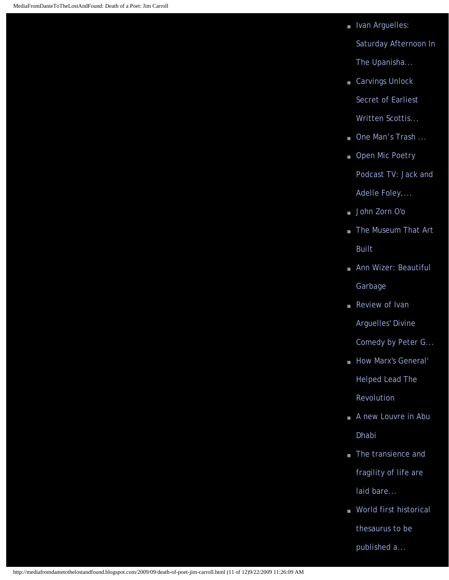■ Ivan Arguelles:

[Saturday Afternoon In](http://mediafromdantetothelostandfound.blogspot.com/2009/09/ivan-arguelles-saturday-afternoon-in.html) 

[The Upanisha...](http://mediafromdantetothelostandfound.blogspot.com/2009/09/ivan-arguelles-saturday-afternoon-in.html)

■ Carvings Unlock

[Secret of Earliest](http://mediafromdantetothelostandfound.blogspot.com/2009/09/carvings-unlock-secret-of-earliest.html)

[Written Scottis...](http://mediafromdantetothelostandfound.blogspot.com/2009/09/carvings-unlock-secret-of-earliest.html)

- [One Man's Trash ...](http://mediafromdantetothelostandfound.blogspot.com/2009/09/one-mans-trash.html)
- Open Mic Poetry [Podcast TV: Jack and](http://mediafromdantetothelostandfound.blogspot.com/2009/09/open-mic-poetry-podcast-tv-jack-and.html)  [Adelle Foley,...](http://mediafromdantetothelostandfound.blogspot.com/2009/09/open-mic-poetry-podcast-tv-jack-and.html)
- [John Zorn O'o](http://mediafromdantetothelostandfound.blogspot.com/2009/09/john-zorn-oo.html)
- [The Museum That Art](http://mediafromdantetothelostandfound.blogspot.com/2009/09/museum-that-art-built.html) [Built](http://mediafromdantetothelostandfound.blogspot.com/2009/09/museum-that-art-built.html)
- Ann Wizer: Beautiful [Garbage](http://mediafromdantetothelostandfound.blogspot.com/2009/09/ann-wizer-beautiful-garbage.html)
- Review of Ivan [Arguelles' Divine](http://mediafromdantetothelostandfound.blogspot.com/2009/09/review-of-ivan-arguelles-divine-comedy.html)

[Comedy by Peter G...](http://mediafromdantetothelostandfound.blogspot.com/2009/09/review-of-ivan-arguelles-divine-comedy.html)

- How Marx's General' [Helped Lead The](http://mediafromdantetothelostandfound.blogspot.com/2009/09/how-marxs-general-helped-lead.html) [Revolution](http://mediafromdantetothelostandfound.blogspot.com/2009/09/how-marxs-general-helped-lead.html)
- A new Louvre in Abu [Dhabi](http://mediafromdantetothelostandfound.blogspot.com/2009/09/from-article-just-off-coast-of-abu.html)
- [The transience and](http://mediafromdantetothelostandfound.blogspot.com/2009/09/transience-and-fragility-of-life-are.html) [fragility of life are](http://mediafromdantetothelostandfound.blogspot.com/2009/09/transience-and-fragility-of-life-are.html) [laid bare...](http://mediafromdantetothelostandfound.blogspot.com/2009/09/transience-and-fragility-of-life-are.html)
- World first historical [thesaurus to be](http://mediafromdantetothelostandfound.blogspot.com/2009/09/world-first-historical-thesaurus-to-be.html) [published a...](http://mediafromdantetothelostandfound.blogspot.com/2009/09/world-first-historical-thesaurus-to-be.html)